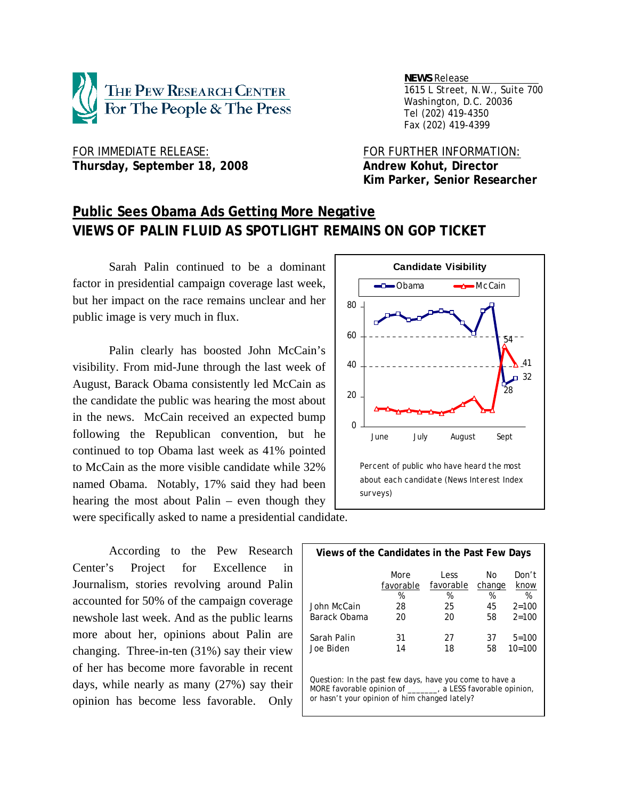

 *NEWS Release . 1615 L Street, N.W., Suite 700 Washington, D.C. 20036 Tel (202) 419-4350 Fax (202) 419-4399*

FOR IMMEDIATE RELEASE: FOR FURTHER INFORMATION: Thursday, September 18, 2008 **Andrew Kohut, Director** 

 **Kim Parker, Senior Researcher** 

# **Public Sees Obama Ads Getting More Negative VIEWS OF PALIN FLUID AS SPOTLIGHT REMAINS ON GOP TICKET**

 Sarah Palin continued to be a dominant factor in presidential campaign coverage last week, but her impact on the race remains unclear and her public image is very much in flux.

Palin clearly has boosted John McCain's visibility. From mid-June through the last week of August, Barack Obama consistently led McCain as the candidate the public was hearing the most about in the news. McCain received an expected bump following the Republican convention, but he continued to top Obama last week as 41% pointed to McCain as the more visible candidate while 32% named Obama. Notably, 17% said they had been hearing the most about Palin – even though they were specifically asked to name a presidential candidate.

 According to the Pew Research Center's Project for Excellence in Journalism, stories revolving around Palin accounted for 50% of the campaign coverage newshole last week. And as the public learns more about her, opinions about Palin are changing. Three-in-ten (31%) say their view of her has become more favorable in recent days, while nearly as many (27%) say their opinion has become less favorable. Only



| Views of the Candidates in the Past Few Days                                                                                                                            |                                    |                                    |                               |                                              |  |  |  |  |
|-------------------------------------------------------------------------------------------------------------------------------------------------------------------------|------------------------------------|------------------------------------|-------------------------------|----------------------------------------------|--|--|--|--|
| John McCain<br>Barack Obama                                                                                                                                             | More<br>favorable<br>%<br>28<br>20 | Less<br>favorable<br>%<br>25<br>20 | No<br>change<br>%<br>45<br>58 | Don't<br>know<br>%<br>$2 = 100$<br>$2 = 100$ |  |  |  |  |
| Sarah Palin<br>Joe Biden                                                                                                                                                | 31<br>14                           | 27<br>18                           | 37<br>58                      | $5 = 100$<br>$10=100$                        |  |  |  |  |
| Question: In the past few days, have you come to have a<br>MORE favorable opinion of ______, a LESS favorable opinion,<br>or hasn't your opinion of him changed lately? |                                    |                                    |                               |                                              |  |  |  |  |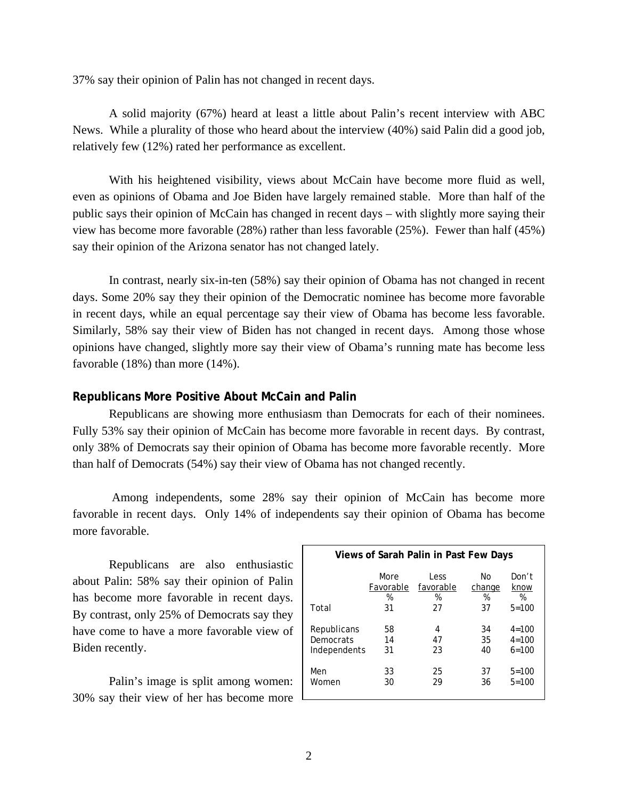37% say their opinion of Palin has not changed in recent days.

 A solid majority (67%) heard at least a little about Palin's recent interview with ABC News. While a plurality of those who heard about the interview (40%) said Palin did a good job, relatively few (12%) rated her performance as excellent.

 With his heightened visibility, views about McCain have become more fluid as well, even as opinions of Obama and Joe Biden have largely remained stable. More than half of the public says their opinion of McCain has changed in recent days – with slightly more saying their view has become more favorable (28%) rather than less favorable (25%). Fewer than half (45%) say their opinion of the Arizona senator has not changed lately.

 In contrast, nearly six-in-ten (58%) say their opinion of Obama has not changed in recent days. Some 20% say they their opinion of the Democratic nominee has become more favorable in recent days, while an equal percentage say their view of Obama has become less favorable. Similarly, 58% say their view of Biden has not changed in recent days. Among those whose opinions have changed, slightly more say their view of Obama's running mate has become less favorable (18%) than more (14%).

### **Republicans More Positive About McCain and Palin**

Republicans are showing more enthusiasm than Democrats for each of their nominees. Fully 53% say their opinion of McCain has become more favorable in recent days. By contrast, only 38% of Democrats say their opinion of Obama has become more favorable recently. More than half of Democrats (54%) say their view of Obama has not changed recently.

 Among independents, some 28% say their opinion of McCain has become more favorable in recent days. Only 14% of independents say their opinion of Obama has become more favorable.

 Republicans are also enthusiastic about Palin: 58% say their opinion of Palin has become more favorable in recent days. By contrast, only 25% of Democrats say they have come to have a more favorable view of Biden recently.

 Palin's image is split among women: 30% say their view of her has become more

| Views of Sarah Palin in Past Few Days |           |           |        |           |  |  |  |
|---------------------------------------|-----------|-----------|--------|-----------|--|--|--|
| Total                                 | More      | Less      | N٥     | Don't     |  |  |  |
|                                       | Favorable | favorable | change | know      |  |  |  |
|                                       | %         | %         | %      | %         |  |  |  |
|                                       | 31        | 27        | 37     | $5 = 100$ |  |  |  |
| Republicans                           | 58        | 4         | 34     | $4 = 100$ |  |  |  |
| Democrats                             | 14        | 47        | 35     | $4 = 100$ |  |  |  |
| Independents                          | 31        | 23        | 40     | $6 = 100$ |  |  |  |
| Men                                   | 33        | 25        | 37     | $5 = 100$ |  |  |  |
| Women                                 | 30        | 29        | 36     | $5 = 100$ |  |  |  |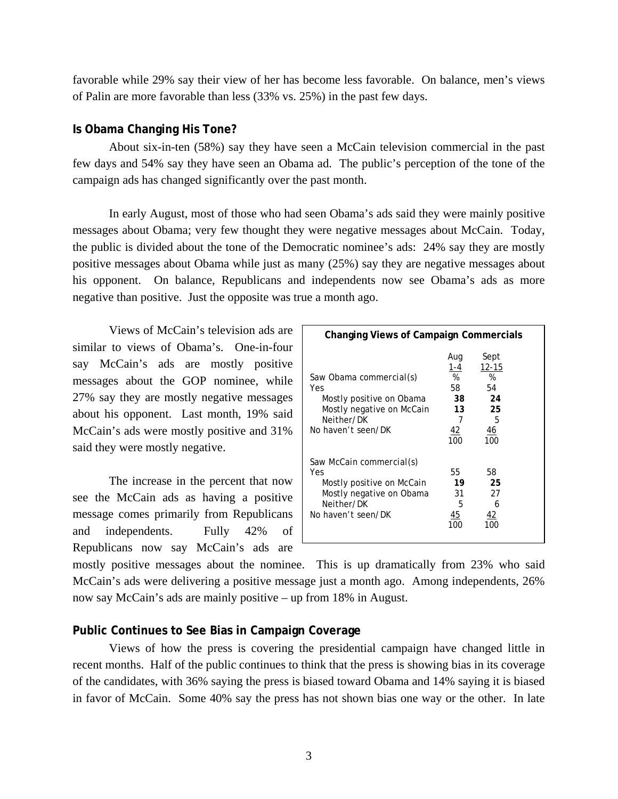favorable while 29% say their view of her has become less favorable. On balance, men's views of Palin are more favorable than less (33% vs. 25%) in the past few days.

### **Is Obama Changing His Tone?**

 About six-in-ten (58%) say they have seen a McCain television commercial in the past few days and 54% say they have seen an Obama ad. The public's perception of the tone of the campaign ads has changed significantly over the past month.

In early August, most of those who had seen Obama's ads said they were mainly positive messages about Obama; very few thought they were negative messages about McCain. Today, the public is divided about the tone of the Democratic nominee's ads: 24% say they are mostly positive messages about Obama while just as many (25%) say they are negative messages about his opponent. On balance, Republicans and independents now see Obama's ads as more negative than positive. Just the opposite was true a month ago.

 Views of McCain's television ads are similar to views of Obama's. One-in-four say McCain's ads are mostly positive messages about the GOP nominee, while 27% say they are mostly negative messages about his opponent. Last month, 19% said McCain's ads were mostly positive and 31% said they were mostly negative.

 The increase in the percent that now see the McCain ads as having a positive message comes primarily from Republicans and independents. Fully 42% of Republicans now say McCain's ads are

| <b>Changing Views of Campaign Commercials</b>                                                                                |                                                            |                                                            |  |  |  |
|------------------------------------------------------------------------------------------------------------------------------|------------------------------------------------------------|------------------------------------------------------------|--|--|--|
| Saw Obama commercial(s)<br>Yes<br>Mostly positive on Obama<br>Mostly negative on McCain<br>Neither/DK<br>No haven't seen/DK  | Aug<br>1-4<br>%<br>58<br>38<br>13<br>7<br><u>42</u><br>100 | Sept<br>$12 - 15$<br>%<br>54<br>24<br>25<br>5<br>46<br>100 |  |  |  |
| Saw McCain commercial(s)<br>Yes<br>Mostly positive on McCain<br>Mostly negative on Obama<br>Neither/DK<br>No haven't seen/DK | 55<br>19<br>31<br>5<br>45<br>100                           | 58<br>25<br>27<br>6<br><u>42</u><br>100                    |  |  |  |

mostly positive messages about the nominee. This is up dramatically from 23% who said McCain's ads were delivering a positive message just a month ago. Among independents, 26% now say McCain's ads are mainly positive – up from 18% in August.

### **Public Continues to See Bias in Campaign Coverage**

 Views of how the press is covering the presidential campaign have changed little in recent months. Half of the public continues to think that the press is showing bias in its coverage of the candidates, with 36% saying the press is biased toward Obama and 14% saying it is biased in favor of McCain. Some 40% say the press has not shown bias one way or the other. In late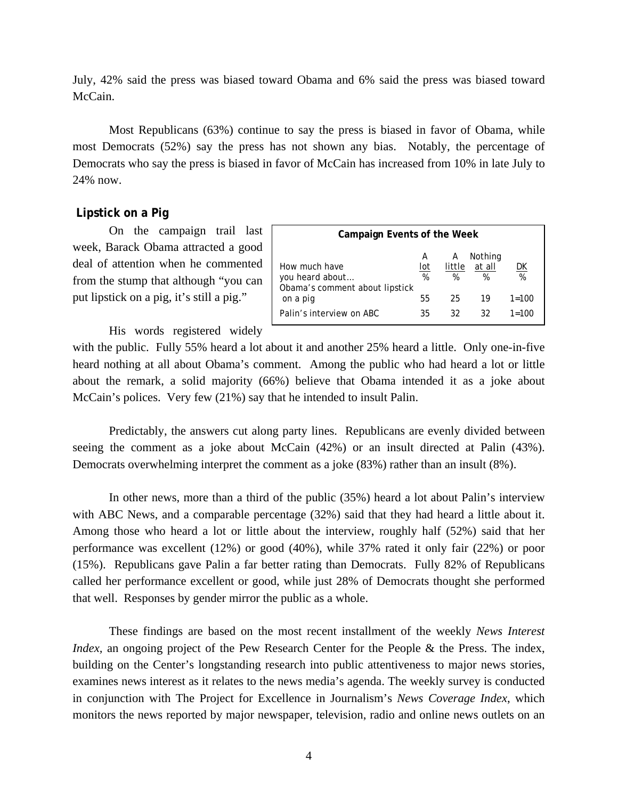July, 42% said the press was biased toward Obama and 6% said the press was biased toward McCain.

 Most Republicans (63%) continue to say the press is biased in favor of Obama, while most Democrats (52%) say the press has not shown any bias. Notably, the percentage of Democrats who say the press is biased in favor of McCain has increased from 10% in late July to 24% now.

### **Lipstick on a Pig**

On the campaign trail last week, Barack Obama attracted a good deal of attention when he commented from the stump that although "you can put lipstick on a pig, it's still a pig."

| Campaign Events of the Week                                        |               |                  |                        |           |  |
|--------------------------------------------------------------------|---------------|------------------|------------------------|-----------|--|
| How much have<br>you heard about<br>Obama's comment about lipstick | A<br>lot<br>% | А<br>little<br>% | Nothing<br>at all<br>% | DK<br>%   |  |
| on a pig                                                           | 55            | 25               | 19                     | $1 = 100$ |  |
| Palin's interview on ABC                                           | 35            | 32               | 32                     | $1 = 100$ |  |

His words registered widely

with the public. Fully 55% heard a lot about it and another 25% heard a little. Only one-in-five heard nothing at all about Obama's comment. Among the public who had heard a lot or little about the remark, a solid majority (66%) believe that Obama intended it as a joke about McCain's polices. Very few (21%) say that he intended to insult Palin.

Predictably, the answers cut along party lines. Republicans are evenly divided between seeing the comment as a joke about McCain (42%) or an insult directed at Palin (43%). Democrats overwhelming interpret the comment as a joke (83%) rather than an insult (8%).

 In other news, more than a third of the public (35%) heard a lot about Palin's interview with ABC News, and a comparable percentage (32%) said that they had heard a little about it. Among those who heard a lot or little about the interview, roughly half (52%) said that her performance was excellent (12%) or good (40%), while 37% rated it only fair (22%) or poor (15%). Republicans gave Palin a far better rating than Democrats. Fully 82% of Republicans called her performance excellent or good, while just 28% of Democrats thought she performed that well. Responses by gender mirror the public as a whole.

 These findings are based on the most recent installment of the weekly *News Interest Index*, an ongoing project of the Pew Research Center for the People & the Press. The index, building on the Center's longstanding research into public attentiveness to major news stories, examines news interest as it relates to the news media's agenda. The weekly survey is conducted in conjunction with The Project for Excellence in Journalism's *News Coverage Index*, which monitors the news reported by major newspaper, television, radio and online news outlets on an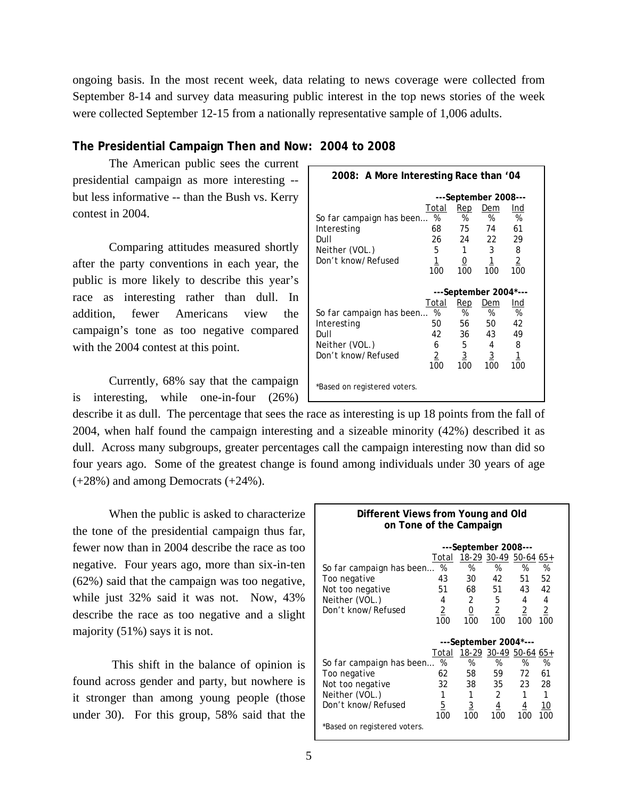ongoing basis. In the most recent week, data relating to news coverage were collected from September 8-14 and survey data measuring public interest in the top news stories of the week were collected September 12-15 from a nationally representative sample of 1,006 adults.

### **The Presidential Campaign Then and Now: 2004 to 2008**

The American public sees the current presidential campaign as more interesting - but less informative -- than the Bush vs. Kerry contest in 2004.

Comparing attitudes measured shortly after the party conventions in each year, the public is more likely to describe this year's race as interesting rather than dull. In addition, fewer Americans view the campaign's tone as too negative compared with the 2004 contest at this point.

Currently, 68% say that the campaign is interesting, while one-in-four (26%)

| 2008: A More Interesting Race than '04 |           |          |                       |                |
|----------------------------------------|-----------|----------|-----------------------|----------------|
|                                        |           |          | ---September 2008---  |                |
|                                        | Total     | Rep      | Dem                   | Ind            |
| So far campaign has been               | %         | %        | %                     | %              |
| Interesting                            | 68        | 75       | 74                    | 61             |
| Dull                                   | 26        | 24       | 22                    | 29             |
| Neither (VOL.)                         | 5         | 1        | 3                     | 8              |
| Don't know/Refused                     | <u> 1</u> | <u>0</u> | <u> 1</u>             | $\overline{2}$ |
|                                        | 100       | 100      | 100                   | 100            |
|                                        |           |          |                       |                |
|                                        |           |          | ---September 2004*--- |                |
|                                        | Total     | Rep      | Dem                   | Ind            |
| So far campaign has been               | %         | %        | %                     | %              |
| Interesting                            | 50        | 56       | 50                    | 42             |
| Dull                                   | 42        | 36       | 43                    | 49             |
| Neither (VOL.)                         | 6         | 5        | 4                     | 8              |
| Don't know/Refused                     | 2         | 3        | $\overline{3}$        | 1              |
|                                        | 100       | 100      | 100                   | 100            |

describe it as dull. The percentage that sees the race as interesting is up 18 points from the fall of 2004, when half found the campaign interesting and a sizeable minority (42%) described it as dull. Across many subgroups, greater percentages call the campaign interesting now than did so four years ago. Some of the greatest change is found among individuals under 30 years of age (+28%) and among Democrats (+24%).

When the public is asked to characterize the tone of the presidential campaign thus far, fewer now than in 2004 describe the race as too negative. Four years ago, more than six-in-ten (62%) said that the campaign was too negative, while just 32% said it was not. Now, 43% describe the race as too negative and a slight majority (51%) says it is not.

 This shift in the balance of opinion is found across gender and party, but nowhere is it stronger than among young people (those under 30). For this group, 58% said that the

| Different Views from Young and Old<br>on Tone of the Campaign |                      |                       |                |                |                |  |  |
|---------------------------------------------------------------|----------------------|-----------------------|----------------|----------------|----------------|--|--|
|                                                               | ---September 2008--- |                       |                |                |                |  |  |
|                                                               | Total                | 18-29 30-49 50-64 65+ |                |                |                |  |  |
| So far campaign has been                                      | %                    | %                     | %              | %              | %              |  |  |
| Too negative                                                  | 43                   | 30                    | 42             | 51             | 52             |  |  |
| Not too negative                                              | 51                   | 68 —                  | 51             | 43             | 42             |  |  |
| Neither (VOL.)                                                | 4                    | $\overline{2}$        | 5              | 4              | 4              |  |  |
| Don't know/Refused                                            | $\overline{2}$       | $\underline{0}$       | $\overline{2}$ | $\overline{2}$ | $\overline{2}$ |  |  |
|                                                               | 100                  | 100                   | 100            | 100            | 100            |  |  |
|                                                               |                      | ---September 2004*--- |                |                |                |  |  |
|                                                               | Total                | 18-29 30-49 50-64 65+ |                |                |                |  |  |
| So far campaign has been                                      | %                    | %                     | %              | %              | %              |  |  |
| Too negative                                                  | 62                   | 58                    | 59             | 72             | 61             |  |  |
| Not too negative                                              | 32                   | 38                    | 35             | 23             | 28             |  |  |
| Neither (VOL.)                                                | 1                    | 1                     | 2              | 1              | 1              |  |  |
| Don't know/Refused                                            | 5                    | $\overline{3}$        | $\overline{4}$ | 4              | 10             |  |  |
|                                                               | 100                  | 100                   | 100            | 100            | 100            |  |  |
| *Based on registered voters.                                  |                      |                       |                |                |                |  |  |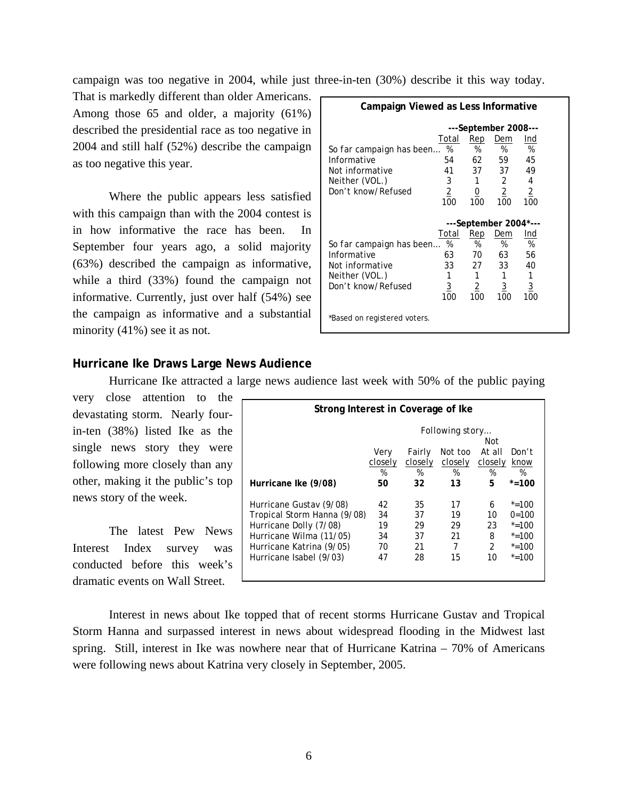campaign was too negative in 2004, while just three-in-ten (30%) describe it this way today.

That is markedly different than older Americans.  $\Box$ Among those 65 and older, a majority (61%) described the presidential race as too negative in 2004 and still half (52%) describe the campaign as too negative this year.

Where the public appears less satisfied with this campaign than with the 2004 contest is in how informative the race has been. In September four years ago, a solid majority (63%) described the campaign as informative, while a third (33%) found the campaign not informative. Currently, just over half (54%) see the campaign as informative and a substantial minority (41%) see it as not.

| Campaign Viewed as Less Informative |                |                |                       |          |  |  |
|-------------------------------------|----------------|----------------|-----------------------|----------|--|--|
|                                     |                |                | ---September 2008---  |          |  |  |
|                                     | Total          | Rep            | Dem                   | Ind      |  |  |
| So far campaign has been            | %              | %              | %                     | %        |  |  |
| Informative                         | 54             | 62             | 59                    | 45       |  |  |
| Not informative                     | 41             | 37             | 37                    | 49       |  |  |
| Neither (VOL.)                      | 3              | 1              | 2                     | 4        |  |  |
| Don't know/Refused                  | $\overline{2}$ | $\overline{0}$ | $\overline{2}$        | 2        |  |  |
|                                     | 100            | 100            | 100                   | 100      |  |  |
|                                     |                |                |                       |          |  |  |
|                                     |                |                | ---September 2004*--- |          |  |  |
|                                     | Total          | Rep            | Dem                   | Ind      |  |  |
| So far campaign has been            | %              | %              | %                     | %        |  |  |
| Informative                         | 63             | 70             | 63                    | 56       |  |  |
| Not informative                     | 33             | 27             | 33                    | 40       |  |  |
| Neither (VOL.)                      | 1              |                | 1                     |          |  |  |
| Don't know/Refused                  | 3              | 2              | <u>3</u>              | <u>3</u> |  |  |
|                                     | 100            | 100            | 100                   | 100      |  |  |

### **Hurricane Ike Draws Large News Audience**

Hurricane Ike attracted a large news audience last week with 50% of the public paying

very close attention to the devastating storm. Nearly fourin-ten (38%) listed Ike as the single news story they were following more closely than any other, making it the public's top news story of the week.

 The latest Pew News Interest Index survey was conducted before this week's dramatic events on Wall Street.

| Strong Interest in Coverage of Ike |                 |         |         |                |           |
|------------------------------------|-----------------|---------|---------|----------------|-----------|
|                                    | Following story |         |         |                |           |
|                                    |                 |         |         | Not            |           |
|                                    | Very            | Fairly  | Not too | At all         | Don't     |
|                                    | closely         | closely | closely | closely        | know      |
|                                    | %               | %       | %       | %              | %         |
| Hurricane Ike (9/08)               | 50              | 32      | 13      | 5              | $* = 100$ |
| Hurricane Gustav (9/08)            | 42              | 35      | 17      | 6              | $* = 100$ |
| Tropical Storm Hanna (9/08)        | 34              | 37      | 19      | 10             | $0=100$   |
|                                    |                 |         |         |                |           |
| Hurricane Dolly (7/08)             | 19              | 29      | 29      | 23             | $* = 100$ |
| Hurricane Wilma (11/05)            | 34              | 37      | 21      | 8              | $* = 100$ |
| Hurricane Katrina (9/05)           | 70              | 21      | 7       | $\mathfrak{D}$ | $* = 100$ |
| Hurricane Isabel (9/03)            | 47              | 28      | 15      | 10             | $* = 100$ |
|                                    |                 |         |         |                |           |

 Interest in news about Ike topped that of recent storms Hurricane Gustav and Tropical Storm Hanna and surpassed interest in news about widespread flooding in the Midwest last spring. Still, interest in Ike was nowhere near that of Hurricane Katrina – 70% of Americans were following news about Katrina very closely in September, 2005.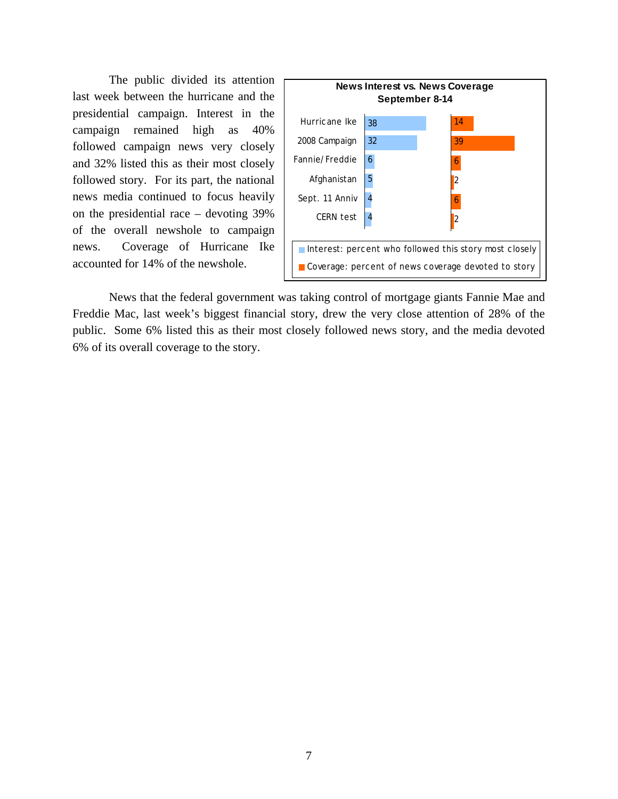The public divided its attention last week between the hurricane and the presidential campaign. Interest in the campaign remained high as 40% followed campaign news very closely and 32% listed this as their most closely followed story. For its part, the national news media continued to focus heavily on the presidential race – devoting 39% of the overall newshole to campaign news. Coverage of Hurricane Ike accounted for 14% of the newshole.



 News that the federal government was taking control of mortgage giants Fannie Mae and Freddie Mac, last week's biggest financial story, drew the very close attention of 28% of the public. Some 6% listed this as their most closely followed news story, and the media devoted 6% of its overall coverage to the story.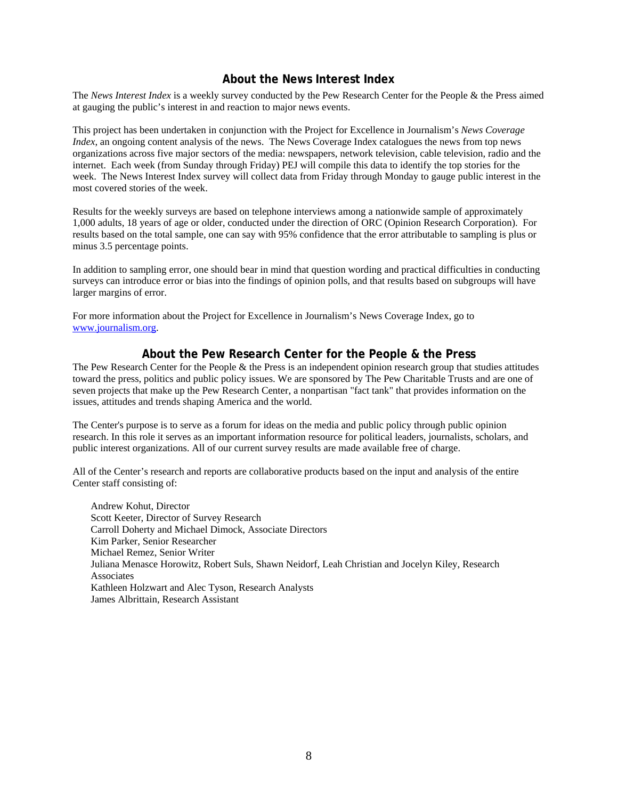## **About the News Interest Index**

The *News Interest Index* is a weekly survey conducted by the Pew Research Center for the People & the Press aimed at gauging the public's interest in and reaction to major news events.

This project has been undertaken in conjunction with the Project for Excellence in Journalism's *News Coverage Index*, an ongoing content analysis of the news. The News Coverage Index catalogues the news from top news organizations across five major sectors of the media: newspapers, network television, cable television, radio and the internet. Each week (from Sunday through Friday) PEJ will compile this data to identify the top stories for the week. The News Interest Index survey will collect data from Friday through Monday to gauge public interest in the most covered stories of the week.

Results for the weekly surveys are based on telephone interviews among a nationwide sample of approximately 1,000 adults, 18 years of age or older, conducted under the direction of ORC (Opinion Research Corporation). For results based on the total sample, one can say with 95% confidence that the error attributable to sampling is plus or minus 3.5 percentage points.

In addition to sampling error, one should bear in mind that question wording and practical difficulties in conducting surveys can introduce error or bias into the findings of opinion polls, and that results based on subgroups will have larger margins of error.

For more information about the Project for Excellence in Journalism's News Coverage Index, go to www.journalism.org.

### **About the Pew Research Center for the People & the Press**

The Pew Research Center for the People & the Press is an independent opinion research group that studies attitudes toward the press, politics and public policy issues. We are sponsored by The Pew Charitable Trusts and are one of seven projects that make up the Pew Research Center, a nonpartisan "fact tank" that provides information on the issues, attitudes and trends shaping America and the world.

The Center's purpose is to serve as a forum for ideas on the media and public policy through public opinion research. In this role it serves as an important information resource for political leaders, journalists, scholars, and public interest organizations. All of our current survey results are made available free of charge.

All of the Center's research and reports are collaborative products based on the input and analysis of the entire Center staff consisting of:

 Andrew Kohut, Director Scott Keeter, Director of Survey Research Carroll Doherty and Michael Dimock, Associate Directors Kim Parker, Senior Researcher Michael Remez, Senior Writer Juliana Menasce Horowitz, Robert Suls, Shawn Neidorf, Leah Christian and Jocelyn Kiley, Research Associates Kathleen Holzwart and Alec Tyson, Research Analysts James Albrittain, Research Assistant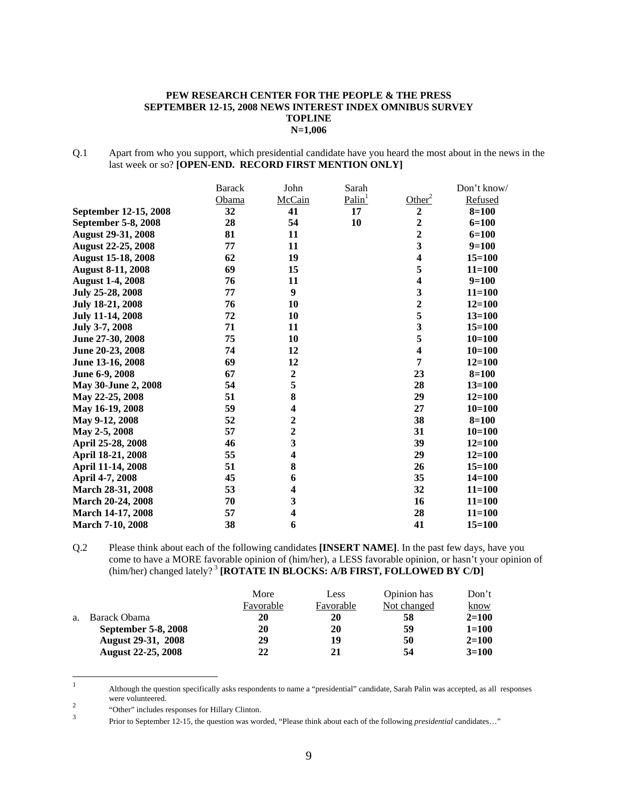#### **PEW RESEARCH CENTER FOR THE PEOPLE & THE PRESS SEPTEMBER 12-15, 2008 NEWS INTEREST INDEX OMNIBUS SURVEY TOPLINE N=1,006**

Q.1 Apart from who you support, which presidential candidate have you heard the most about in the news in the last week or so? **[OPEN-END. RECORD FIRST MENTION ONLY]** 

|                           | <b>Barack</b> | John                    | Sarah              |                         | Don't know/ |
|---------------------------|---------------|-------------------------|--------------------|-------------------------|-------------|
|                           | Obama         | McCain                  | Palin <sup>1</sup> | Other <sup>2</sup>      | Refused     |
| September 12-15, 2008     | 32            | 41                      | 17                 | $\boldsymbol{2}$        | $8 = 100$   |
| September 5-8, 2008       | 28            | 54                      | 10                 | $\overline{c}$          | $6 = 100$   |
| <b>August 29-31, 2008</b> | 81            | 11                      |                    | 2                       | $6 = 100$   |
| <b>August 22-25, 2008</b> | 77            | 11                      |                    | 3                       | $9=100$     |
| <b>August 15-18, 2008</b> | 62            | 19                      |                    | 4                       | $15 = 100$  |
| <b>August 8-11, 2008</b>  | 69            | 15                      |                    | 5                       | $11 = 100$  |
| <b>August 1-4, 2008</b>   | 76            | 11                      |                    | 4                       | $9=100$     |
| July 25-28, 2008          | 77            | 9                       |                    | 3                       | $11 = 100$  |
| July 18-21, 2008          | 76            | 10                      |                    | $\overline{c}$          | $12 = 100$  |
| <b>July 11-14, 2008</b>   | 72            | 10                      |                    | 5                       | $13 = 100$  |
| July 3-7, 2008            | 71            | 11                      |                    | 3                       | $15 = 100$  |
| June 27-30, 2008          | 75            | 10                      |                    | 5                       | $10 = 100$  |
| June 20-23, 2008          | 74            | 12                      |                    | $\overline{\mathbf{4}}$ | $10=100$    |
| June 13-16, 2008          | 69            | 12                      |                    | 7                       | $12 = 100$  |
| June 6-9, 2008            | 67            | $\boldsymbol{2}$        |                    | 23                      | $8 = 100$   |
| May 30-June 2, 2008       | 54            | 5                       |                    | 28                      | $13 = 100$  |
| May 22-25, 2008           | 51            | 8                       |                    | 29                      | $12 = 100$  |
| May 16-19, 2008           | 59            | $\overline{\mathbf{4}}$ |                    | 27                      | $10=100$    |
| May 9-12, 2008            | 52            | $\overline{c}$          |                    | 38                      | $8 = 100$   |
| May 2-5, 2008             | 57            | $\overline{2}$          |                    | 31                      | $10=100$    |
| April 25-28, 2008         | 46            | 3                       |                    | 39                      | $12 = 100$  |
| April 18-21, 2008         | 55            | $\overline{\mathbf{4}}$ |                    | 29                      | $12 = 100$  |
| April 11-14, 2008         | 51            | 8                       |                    | 26                      | $15 = 100$  |
| April 4-7, 2008           | 45            | 6                       |                    | 35                      | $14 = 100$  |
| March 28-31, 2008         | 53            | $\overline{\mathbf{4}}$ |                    | 32                      | $11 = 100$  |
| March 20-24, 2008         | 70            | 3                       |                    | 16                      | $11 = 100$  |
| March 14-17, 2008         | 57            | $\overline{\mathbf{4}}$ |                    | 28                      | $11 = 100$  |
| <b>March 7-10, 2008</b>   | 38            | 6                       |                    | 41                      | $15 = 100$  |

Q.2 Please think about each of the following candidates **[INSERT NAME]**. In the past few days, have you come to have a MORE favorable opinion of (him/her), a LESS favorable opinion, or hasn't your opinion of (him/her) changed lately?<sup>3</sup> [ROTATE IN BLOCKS: A/B FIRST, FOLLOWED BY C/D]

|    |                           | More      | Less      | Opinion has | Don't     |
|----|---------------------------|-----------|-----------|-------------|-----------|
|    |                           | Favorable | Favorable | Not changed | know      |
| a. | Barack Obama              | 20        | 20        | 58          | $2 = 100$ |
|    | September 5-8, 2008       | 20        | 20        | 59          | $1 = 100$ |
|    | <b>August 29-31, 2008</b> | 29        | 19        | 50          | $2 = 100$ |
|    | <b>August 22-25, 2008</b> | 22        | 21        | 54          | $3=100$   |

 $\frac{1}{1}$  Although the question specifically asks respondents to name a "presidential" candidate, Sarah Palin was accepted, as all responses were volunteered.

<sup>2</sup> "Other" includes responses for Hillary Clinton.<br> $\frac{3}{2}$ 

Prior to September 12-15, the question was worded, "Please think about each of the following *presidential* candidates…"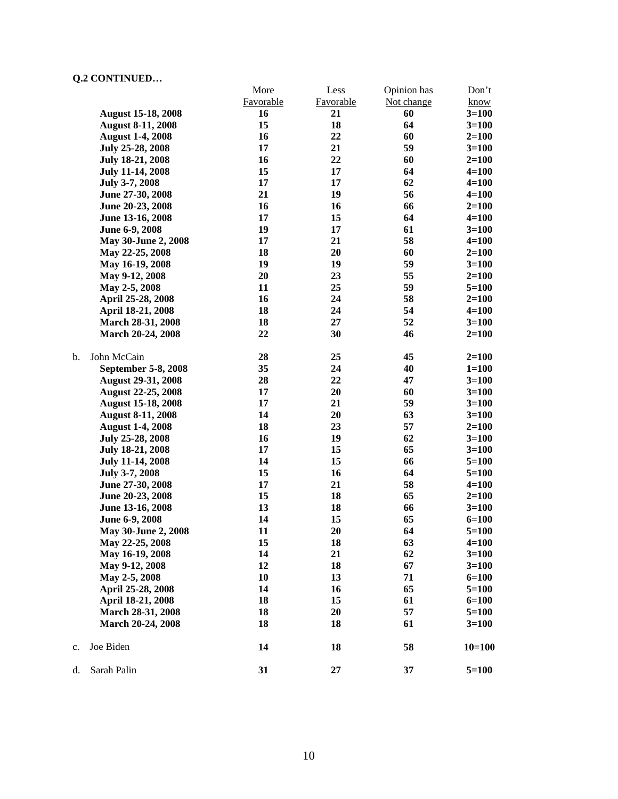|    |                           | More      | Less      | Opinion has | Don't     |
|----|---------------------------|-----------|-----------|-------------|-----------|
|    |                           | Favorable | Favorable | Not change  | know      |
|    | <b>August 15-18, 2008</b> | 16        | 21        | 60          | $3=100$   |
|    | <b>August 8-11, 2008</b>  | 15        | 18        | 64          | $3=100$   |
|    | <b>August 1-4, 2008</b>   | 16        | 22        | 60          | $2=100$   |
|    | July 25-28, 2008          | 17        | 21        | 59          | $3=100$   |
|    | July 18-21, 2008          | 16        | 22        | 60          | $2=100$   |
|    | July 11-14, 2008          | 15        | 17        | 64          | $4 = 100$ |
|    | July 3-7, 2008            | 17        | 17        | 62          | $4 = 100$ |
|    | June 27-30, 2008          | 21        | 19        | 56          | $4 = 100$ |
|    | June 20-23, 2008          | 16        | 16        | 66          | $2=100$   |
|    | June 13-16, 2008          | 17        | 15        | 64          | $4 = 100$ |
|    | June 6-9, 2008            | 19        | 17        | 61          | $3 = 100$ |
|    | May 30-June 2, 2008       | 17        | 21        | 58          | $4 = 100$ |
|    | May 22-25, 2008           | 18        | 20        | 60          | $2=100$   |
|    | May 16-19, 2008           | 19        | 19        | 59          | $3=100$   |
|    | May 9-12, 2008            | 20        | 23        | 55          | $2=100$   |
|    | May 2-5, 2008             | 11        | 25        | 59          | $5 = 100$ |
|    | April 25-28, 2008         | 16        | 24        | 58          | $2 = 100$ |
|    | April 18-21, 2008         | 18        | 24        | 54          | $4 = 100$ |
|    | March 28-31, 2008         | 18        | 27        | 52          |           |
|    |                           | 22        |           |             | $3 = 100$ |
|    | March 20-24, 2008         |           | 30        | 46          | $2 = 100$ |
| b. | John McCain               | 28        | 25        | 45          | $2 = 100$ |
|    | September 5-8, 2008       | 35        | 24        | 40          | $1 = 100$ |
|    | <b>August 29-31, 2008</b> | 28        | 22        | 47          | $3=100$   |
|    | <b>August 22-25, 2008</b> | 17        | 20        | 60          | $3=100$   |
|    | <b>August 15-18, 2008</b> | 17        | 21        | 59          | $3 = 100$ |
|    | <b>August 8-11, 2008</b>  | 14        | 20        | 63          | $3=100$   |
|    | <b>August 1-4, 2008</b>   | 18        | 23        | 57          | $2=100$   |
|    | July 25-28, 2008          | 16        | 19        | 62          | $3 = 100$ |
|    | July 18-21, 2008          | 17        | 15        | 65          | $3 = 100$ |
|    | <b>July 11-14, 2008</b>   | 14        | 15        | 66          | $5 = 100$ |
|    | July 3-7, 2008            | 15        | 16        | 64          | $5 = 100$ |
|    | June 27-30, 2008          | 17        | 21        | 58          | $4 = 100$ |
|    | June 20-23, 2008          | 15        | 18        | 65          | $2=100$   |
|    | June 13-16, 2008          | 13        | 18        | 66          | $3 = 100$ |
|    | June 6-9, 2008            | 14        | 15        | 65          | $6=100$   |
|    | May 30-June 2, 2008       | 11        | 20        | 64          | $5=100$   |
|    | May 22-25, 2008           | 15        | 18        | 63          | $4 = 100$ |
|    | May 16-19, 2008           | 14        | 21        | 62          | $3=100$   |
|    | May 9-12, 2008            | 12        | 18        | 67          | $3 = 100$ |
|    | May 2-5, 2008             | 10        | 13        | 71          | $6 = 100$ |
|    |                           |           |           |             |           |
|    | April 25-28, 2008         | 14        | 16        | 65          | $5 = 100$ |
|    | April 18-21, 2008         | 18        | 15        | 61          | $6 = 100$ |
|    | March 28-31, 2008         | 18        | 20        | 57          | $5 = 100$ |
|    | March 20-24, 2008         | 18        | 18        | 61          | $3 = 100$ |
| c. | Joe Biden                 | 14        | 18        | 58          | $10=100$  |
| d. | Sarah Palin               | 31        | 27        | 37          | $5 = 100$ |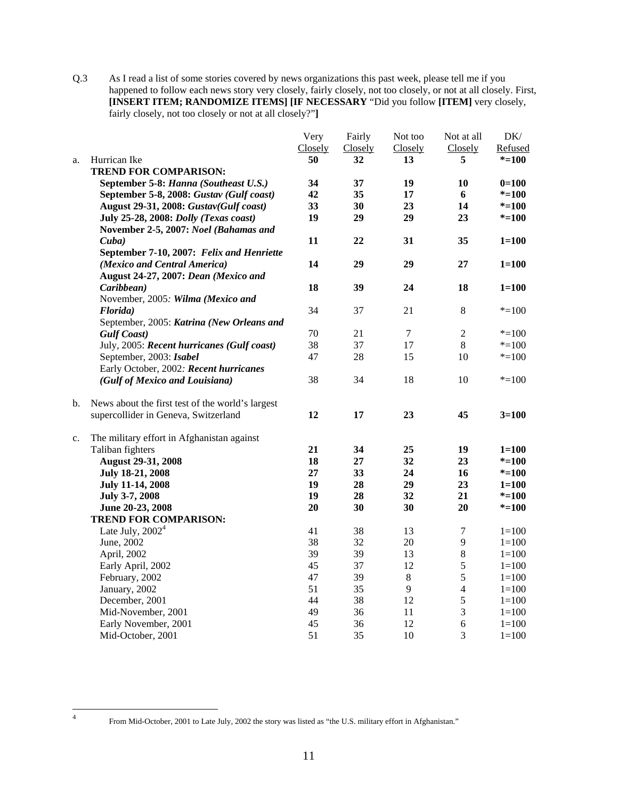Q.3 As I read a list of some stories covered by news organizations this past week, please tell me if you happened to follow each news story very closely, fairly closely, not too closely, or not at all closely. First, **[INSERT ITEM; RANDOMIZE ITEMS] [IF NECESSARY** "Did you follow **[ITEM]** very closely, fairly closely, not too closely or not at all closely?"**]** 

|    |                                                  | Very    | Fairly  | Not too | Not at all     | DK/       |
|----|--------------------------------------------------|---------|---------|---------|----------------|-----------|
|    |                                                  | Closely | Closely | Closely | Closely        | Refused   |
| a. | Hurrican Ike                                     | 50      | 32      | 13      | 5              | $* = 100$ |
|    | <b>TREND FOR COMPARISON:</b>                     |         |         |         |                |           |
|    | September 5-8: Hanna (Southeast U.S.)            | 34      | 37      | 19      | 10             | $0=100$   |
|    | September 5-8, 2008: Gustav (Gulf coast)         | 42      | 35      | 17      | 6              | $* = 100$ |
|    | August 29-31, 2008: Gustav(Gulf coast)           | 33      | 30      | 23      | 14             | $* = 100$ |
|    | July 25-28, 2008: Dolly (Texas coast)            | 19      | 29      | 29      | 23             | $* = 100$ |
|    | November 2-5, 2007: Noel (Bahamas and            |         |         |         |                |           |
|    | Cuba)                                            | 11      | 22      | 31      | 35             | $1 = 100$ |
|    | September 7-10, 2007: Felix and Henriette        |         |         |         |                |           |
|    | (Mexico and Central America)                     | 14      | 29      | 29      | 27             | $1 = 100$ |
|    | August 24-27, 2007: Dean (Mexico and             |         |         |         |                |           |
|    | Caribbean)                                       | 18      | 39      | 24      | 18             | $1 = 100$ |
|    | November, 2005: Wilma (Mexico and                |         |         |         |                |           |
|    | Florida)                                         | 34      | 37      | 21      | 8              | $* = 100$ |
|    | September, 2005: Katrina (New Orleans and        |         |         |         |                |           |
|    | <b>Gulf Coast</b> )                              | 70      | 21      | $\tau$  | $\sqrt{2}$     | $* = 100$ |
|    | July, 2005: Recent hurricanes (Gulf coast)       | 38      | 37      | 17      | 8              | $* = 100$ |
|    | September, 2003: Isabel                          | 47      | 28      | 15      | 10             | $*=100$   |
|    | Early October, 2002: Recent hurricanes           |         |         |         |                |           |
|    | (Gulf of Mexico and Louisiana)                   | 38      | 34      | 18      | 10             | $* = 100$ |
| b. | News about the first test of the world's largest |         |         |         |                |           |
|    | supercollider in Geneva, Switzerland             | 12      | 17      | 23      | 45             | $3 = 100$ |
| c. | The military effort in Afghanistan against       |         |         |         |                |           |
|    | Taliban fighters                                 | 21      | 34      | 25      | 19             | $1 = 100$ |
|    | <b>August 29-31, 2008</b>                        | 18      | 27      | 32      | 23             | $* = 100$ |
|    | July 18-21, 2008                                 | 27      | 33      | 24      | 16             | $* = 100$ |
|    | <b>July 11-14, 2008</b>                          | 19      | 28      | 29      | 23             | $1 = 100$ |
|    | July 3-7, 2008                                   | 19      | 28      | 32      | 21             | $* = 100$ |
|    | June 20-23, 2008                                 | 20      | 30      | 30      | 20             | $* = 100$ |
|    | <b>TREND FOR COMPARISON:</b>                     |         |         |         |                |           |
|    | Late July, $20024$                               | 41      | 38      | 13      | $\overline{7}$ | $1 = 100$ |
|    | June, 2002                                       | 38      | 32      | 20      | 9              | $1 = 100$ |
|    | April, 2002                                      | 39      | 39      | 13      | $\,8\,$        | $1 = 100$ |
|    | Early April, 2002                                | 45      | 37      | 12      | 5              | $1 = 100$ |
|    | February, 2002                                   | 47      | 39      | $8\,$   | 5              | $1 = 100$ |
|    | January, 2002                                    | 51      | 35      | 9       | $\overline{4}$ | $1 = 100$ |
|    | December, 2001                                   | 44      | 38      | 12      | 5              | $1 = 100$ |
|    | Mid-November, 2001                               | 49      | 36      | 11      | 3              | $1 = 100$ |
|    | Early November, 2001                             | 45      | 36      | 12      | 6              | $1 = 100$ |
|    | Mid-October, 2001                                | 51      | 35      | 10      | 3              | $1 = 100$ |

 $\frac{1}{4}$ 

From Mid-October, 2001 to Late July, 2002 the story was listed as "the U.S. military effort in Afghanistan."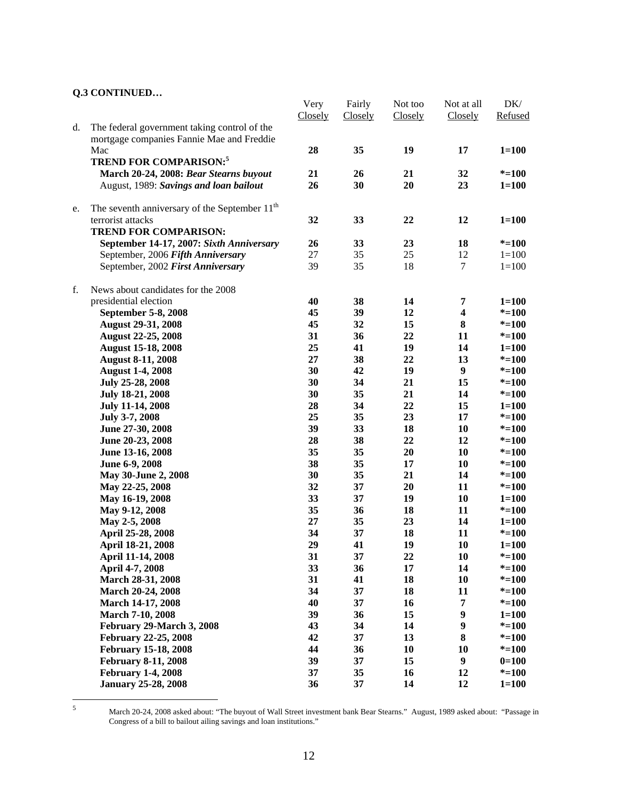|    |                                                           | Very    | Fairly  | Not too | Not at all              | DK/       |
|----|-----------------------------------------------------------|---------|---------|---------|-------------------------|-----------|
|    |                                                           | Closely | Closely | Closely | Closely                 | Refused   |
| d. | The federal government taking control of the              |         |         |         |                         |           |
|    | mortgage companies Fannie Mae and Freddie                 |         |         |         |                         |           |
|    | Mac                                                       | 28      | 35      | 19      | 17                      | $1 = 100$ |
|    | <b>TREND FOR COMPARISON:</b> <sup>5</sup>                 |         |         |         |                         |           |
|    | March 20-24, 2008: Bear Stearns buyout                    | 21      | 26      | 21      | 32                      | $* = 100$ |
|    | August, 1989: Savings and loan bailout                    | 26      | 30      | 20      | 23                      | $1 = 100$ |
|    | The seventh anniversary of the September 11 <sup>th</sup> |         |         |         |                         |           |
| e. | terrorist attacks                                         | 32      | 33      | 22      | 12                      | $1 = 100$ |
|    | <b>TREND FOR COMPARISON:</b>                              |         |         |         |                         |           |
|    | September 14-17, 2007: Sixth Anniversary                  | 26      | 33      | 23      | 18                      | $* = 100$ |
|    | September, 2006 Fifth Anniversary                         | 27      | 35      | 25      | 12                      | $1 = 100$ |
|    | September, 2002 First Anniversary                         | 39      | 35      | 18      | $\tau$                  | $1 = 100$ |
|    |                                                           |         |         |         |                         |           |
| f. | News about candidates for the 2008                        |         |         |         |                         |           |
|    | presidential election                                     | 40      | 38      | 14      | 7                       | $1 = 100$ |
|    | September 5-8, 2008                                       | 45      | 39      | 12      | $\overline{\mathbf{4}}$ | $* = 100$ |
|    | <b>August 29-31, 2008</b>                                 | 45      | 32      | 15      | $\bf{8}$                | $* = 100$ |
|    | <b>August 22-25, 2008</b>                                 | 31      | 36      | 22      | 11                      | $* = 100$ |
|    | <b>August 15-18, 2008</b>                                 | 25      | 41      | 19      | 14                      | $1 = 100$ |
|    | <b>August 8-11, 2008</b>                                  | 27      | 38      | 22      | 13                      | $* = 100$ |
|    | <b>August 1-4, 2008</b>                                   | 30      | 42      | 19      | 9                       | $* = 100$ |
|    | July 25-28, 2008                                          | 30      | 34      | 21      | 15                      | $* = 100$ |
|    | <b>July 18-21, 2008</b>                                   | 30      | 35      | 21      | 14                      | $* = 100$ |
|    | <b>July 11-14, 2008</b>                                   | 28      | 34      | 22      | 15                      | $1 = 100$ |
|    | July 3-7, 2008                                            | 25      | 35      | 23      | 17                      | $* = 100$ |
|    | June 27-30, 2008                                          | 39      | 33      | 18      | 10                      | $* = 100$ |
|    | June 20-23, 2008                                          | 28      | 38      | 22      | 12                      | $* = 100$ |
|    | June 13-16, 2008                                          | 35      | 35      | 20      | 10                      | $* = 100$ |
|    | June 6-9, 2008                                            | 38      | 35      | 17      | 10                      | $* = 100$ |
|    | May 30-June 2, 2008                                       | 30      | 35      | 21      | 14                      | $* = 100$ |
|    | May 22-25, 2008                                           | 32      | 37      | 20      | 11                      | $* = 100$ |
|    | May 16-19, 2008                                           | 33      | 37      | 19      | 10                      | $1 = 100$ |
|    | May 9-12, 2008                                            | 35      | 36      | 18      | 11                      | $* = 100$ |
|    | May 2-5, 2008                                             | 27      | 35      | 23      | 14                      | $1 = 100$ |
|    | April 25-28, 2008                                         | 34      | 37      | 18      | 11                      | $* = 100$ |
|    | April 18-21, 2008                                         | 29      | 41      | 19      | 10                      | $1 = 100$ |
|    | April 11-14, 2008                                         | 31      | 37      | 22      | 10                      | $* = 100$ |
|    | April 4-7, 2008                                           | 33      | 36      | 17      | 14                      | $* = 100$ |
|    | March 28-31, 2008                                         | 31      | 41      | 18      | 10                      | $* = 100$ |
|    | March 20-24, 2008                                         | 34      | 37      | 18      | 11                      | $* = 100$ |
|    | March 14-17, 2008                                         | 40      | 37      | 16      | 7                       | $* = 100$ |
|    | March 7-10, 2008                                          | 39      | 36      | 15      | $\boldsymbol{9}$        | $1 = 100$ |
|    | February 29-March 3, 2008                                 | 43      | 34      | 14      | $\boldsymbol{9}$        | $* = 100$ |
|    | <b>February 22-25, 2008</b>                               | 42      | 37      | 13      | 8                       | $* = 100$ |
|    | <b>February 15-18, 2008</b>                               | 44      | 36      | 10      | 10                      | $* = 100$ |
|    | <b>February 8-11, 2008</b>                                | 39      | 37      | 15      | 9                       | $0=100$   |
|    | <b>February 1-4, 2008</b>                                 | 37      | 35      | 16      | 12                      | $* = 100$ |
|    | <b>January 25-28, 2008</b>                                | 36      | 37      | 14      | 12                      | $1 = 100$ |

5

March 20-24, 2008 asked about: "The buyout of Wall Street investment bank Bear Stearns." August, 1989 asked about: "Passage in Congress of a bill to bailout ailing savings and loan institutions."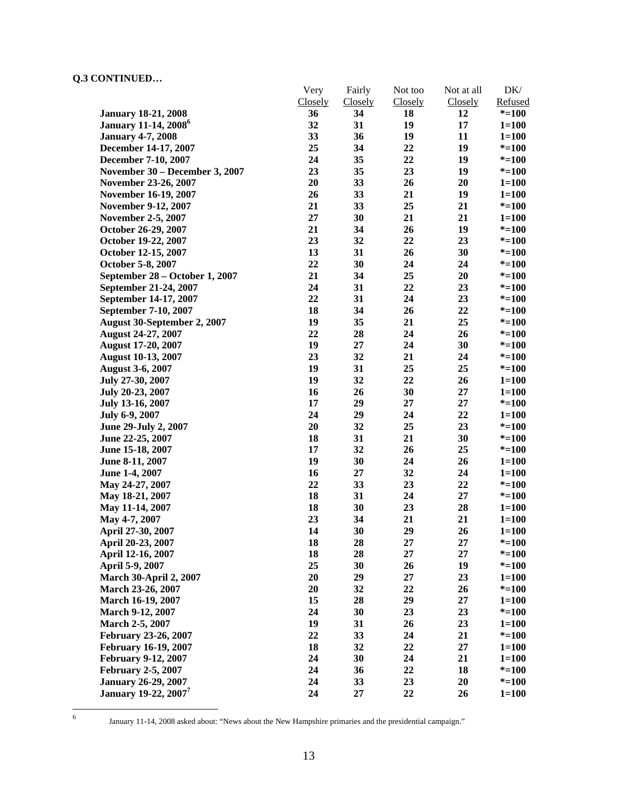|                                         | Very    | Fairly         | Not too | Not at all | DK/       |
|-----------------------------------------|---------|----------------|---------|------------|-----------|
|                                         | Closely | <b>Closely</b> | Closely | Closely    | Refused   |
| <b>January 18-21, 2008</b>              | 36      | 34             | 18      | 12         | $* = 100$ |
| <b>January 11-14, 2008</b> <sup>6</sup> | 32      | 31             | 19      | 17         | $1 = 100$ |
| <b>January 4-7, 2008</b>                | 33      | 36             | 19      | 11         | $1 = 100$ |
| December 14-17, 2007                    | 25      | 34             | 22      | 19         | $* = 100$ |
| December 7-10, 2007                     | 24      | 35             | 22      | 19         | $* = 100$ |
| November 30 – December 3, 2007          | 23      | 35             | 23      | 19         | $* = 100$ |
| November 23-26, 2007                    | 20      | 33             | 26      | 20         | $1 = 100$ |
| November 16-19, 2007                    | 26      | 33             | 21      | 19         | $1 = 100$ |
| <b>November 9-12, 2007</b>              | 21      | 33             | 25      | 21         | $* = 100$ |
| <b>November 2-5, 2007</b>               | $27\,$  | 30             | 21      | 21         | $1 = 100$ |
| October 26-29, 2007                     | 21      | 34             | 26      | 19         | $* = 100$ |
| October 19-22, 2007                     | 23      | 32             | 22      | 23         | $* = 100$ |
| October 12-15, 2007                     | 13      | 31             | 26      | 30         | $* = 100$ |
| October 5-8, 2007                       | 22      | 30             | 24      | 24         | $* = 100$ |
| September 28 - October 1, 2007          | 21      | 34             | 25      | 20         | $* = 100$ |
| September 21-24, 2007                   | 24      | 31             | 22      | 23         | $* = 100$ |
| September 14-17, 2007                   | 22      | 31             | 24      | 23         | $* = 100$ |
| September 7-10, 2007                    | 18      | 34             | 26      | 22         | $* = 100$ |
| August 30-September 2, 2007             | 19      | 35             | 21      | 25         | $* = 100$ |
| August 24-27, 2007                      | 22      | 28             | 24      | 26         | $* = 100$ |
| <b>August 17-20, 2007</b>               | 19      | 27             | 24      | 30         | $* = 100$ |
| <b>August 10-13, 2007</b>               | 23      | 32             | 21      | 24         | $* = 100$ |
| <b>August 3-6, 2007</b>                 | 19      | 31             | 25      | 25         | $* = 100$ |
| July 27-30, 2007                        | 19      | 32             | 22      | 26         | $1 = 100$ |
| July 20-23, 2007                        | 16      | 26             | 30      | 27         | $1 = 100$ |
| July 13-16, 2007                        | 17      | 29             | 27      | 27         | $* = 100$ |
| July 6-9, 2007                          | 24      | 29             | 24      | 22         | $1 = 100$ |
| June 29-July 2, 2007                    | 20      | 32             | 25      | 23         | $* = 100$ |
| June 22-25, 2007                        | 18      | 31             | 21      | 30         | $* = 100$ |
| June 15-18, 2007                        | 17      | 32             | 26      | 25         | $* = 100$ |
| June 8-11, 2007                         | 19      | 30             | 24      | 26         | $1 = 100$ |
| June 1-4, 2007                          | 16      | 27             | 32      | 24         | $1 = 100$ |
| May 24-27, 2007                         | 22      | 33             | 23      | 22         | $* = 100$ |
| May 18-21, 2007                         | 18      | 31             | 24      | $27\,$     | $* = 100$ |
| May 11-14, 2007                         | 18      | 30             | 23      | 28         | $1 = 100$ |
| May 4-7, 2007                           | 23      | 34             | 21      | 21         | $1 = 100$ |
| April 27-30, 2007                       | 14      | 30             | 29      | 26         | $1 = 100$ |
| April 20-23, 2007                       | 18      | 28             | 27      | 27         | $* = 100$ |
| April 12-16, 2007                       | 18      | 28             | 27      | 27         | $* = 100$ |
| April 5-9, 2007                         | 25      | 30             | 26      | 19         | $* = 100$ |
| <b>March 30-April 2, 2007</b>           | 20      | 29             | 27      | 23         | $1 = 100$ |
| March 23-26, 2007                       | 20      | 32             | 22      | 26         | $* = 100$ |
| March 16-19, 2007                       | 15      | 28             | 29      | 27         | $1 = 100$ |
| March 9-12, 2007                        | 24      | 30             | 23      | 23         | $* = 100$ |
| March 2-5, 2007                         | 19      | 31             | 26      | 23         | $1 = 100$ |
| February 23-26, 2007                    | 22      | 33             | 24      | 21         | $* = 100$ |
| February 16-19, 2007                    | 18      | 32             | 22      | $27\,$     | $1 = 100$ |
| <b>February 9-12, 2007</b>              | 24      | 30             | 24      | 21         | $1 = 100$ |
| <b>February 2-5, 2007</b>               | 24      | 36             | 22      | 18         | $* = 100$ |
| <b>January 26-29, 2007</b>              | 24      | 33             | 23      | 20         | $* = 100$ |
| <b>January 19-22, 2007</b>              | 24      | 27             | 22      | 26         | $1 = 100$ |
|                                         |         |                |         |            |           |

 $\frac{1}{6}$ 

January 11-14, 2008 asked about: "News about the New Hampshire primaries and the presidential campaign."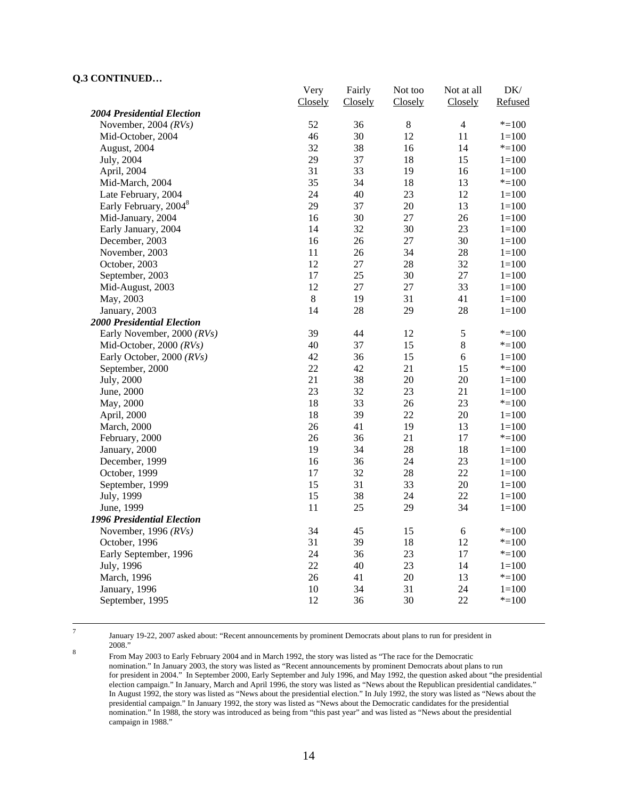|                                   | Very    | Fairly  | Not too | Not at all     | DK/       |
|-----------------------------------|---------|---------|---------|----------------|-----------|
|                                   | Closely | Closely | Closely | Closely        | Refused   |
| <b>2004 Presidential Election</b> |         |         |         |                |           |
| November, 2004 $(RVs)$            | 52      | 36      | $\,8\,$ | $\overline{4}$ | $* = 100$ |
| Mid-October, 2004                 | 46      | 30      | 12      | 11             | $1 = 100$ |
| August, 2004                      | 32      | 38      | 16      | 14             | $* = 100$ |
| July, 2004                        | 29      | 37      | 18      | 15             | $1 = 100$ |
| April, 2004                       | 31      | 33      | 19      | 16             | $1=100$   |
| Mid-March, 2004                   | 35      | 34      | 18      | 13             | $* = 100$ |
| Late February, 2004               | 24      | 40      | 23      | 12             | $1 = 100$ |
| Early February, 2004 <sup>8</sup> | 29      | 37      | 20      | 13             | $1 = 100$ |
| Mid-January, 2004                 | 16      | 30      | 27      | 26             | $1 = 100$ |
| Early January, 2004               | 14      | 32      | 30      | 23             | $1 = 100$ |
| December, 2003                    | 16      | 26      | 27      | 30             | $1 = 100$ |
| November, 2003                    | 11      | 26      | 34      | 28             | $1 = 100$ |
| October, 2003                     | 12      | 27      | 28      | 32             | $1 = 100$ |
| September, 2003                   | 17      | 25      | 30      | 27             | $1 = 100$ |
| Mid-August, 2003                  | 12      | 27      | 27      | 33             | $1 = 100$ |
| May, 2003                         | $\,8\,$ | 19      | 31      | 41             | $1 = 100$ |
| January, 2003                     | 14      | 28      | 29      | 28             | $1 = 100$ |
| <b>2000 Presidential Election</b> |         |         |         |                |           |
| Early November, 2000 (RVs)        | 39      | 44      | 12      | $\mathfrak s$  | $* = 100$ |
| Mid-October, 2000 (RVs)           | 40      | 37      | 15      | $\,8\,$        | $* = 100$ |
| Early October, 2000 (RVs)         | 42      | 36      | 15      | 6              | $1 = 100$ |
| September, 2000                   | 22      | 42      | 21      | 15             | $* = 100$ |
| July, 2000                        | 21      | 38      | 20      | 20             | $1 = 100$ |
| June, 2000                        | 23      | 32      | 23      | 21             | $1 = 100$ |
| May, 2000                         | 18      | 33      | 26      | 23             | $* = 100$ |
| April, 2000                       | 18      | 39      | 22      | $20\,$         | $1 = 100$ |
| March, 2000                       | 26      | 41      | 19      | 13             | $1 = 100$ |
| February, 2000                    | 26      | 36      | 21      | 17             | $* = 100$ |
| January, 2000                     | 19      | 34      | 28      | 18             | $1 = 100$ |
| December, 1999                    | 16      | 36      | 24      | 23             | $1 = 100$ |
| October, 1999                     | 17      | 32      | 28      | $22\,$         | $1 = 100$ |
| September, 1999                   | 15      | 31      | 33      | 20             | $1 = 100$ |
| July, 1999                        | 15      | 38      | 24      | 22             | $1 = 100$ |
| June, 1999                        | 11      | 25      | 29      | 34             | $1 = 100$ |
| <b>1996 Presidential Election</b> |         |         |         |                |           |
| November, 1996 $(RVs)$            | 34      | 45      | 15      | $\sqrt{6}$     | $* = 100$ |
| October, 1996                     | 31      | 39      | 18      | 12             | $* = 100$ |
| Early September, 1996             | 24      | 36      | 23      | 17             | $* = 100$ |
| July, 1996                        | 22      | 40      | 23      | 14             | $1 = 100$ |
| March, 1996                       | 26      | 41      | 20      | 13             | $* = 100$ |
| January, 1996                     | 10      | 34      | 31      | 24             | $1 = 100$ |
| September, 1995                   | 12      | 36      | 30      | $22\,$         | $* = 100$ |
|                                   |         |         |         |                |           |

-<br>7

January 19-22, 2007 asked about: "Recent announcements by prominent Democrats about plans to run for president in

 $\frac{2008}{\text{F}}$ . From May 2003 to Early February 2004 and in March 1992, the story was listed as "The race for the Democratic nomination." In January 2003, the story was listed as "Recent announcements by prominent Democrats about plans to run for president in 2004." In September 2000, Early September and July 1996, and May 1992, the question asked about "the presidential election campaign." In January, March and April 1996, the story was listed as "News about the Republican presidential candidates." In August 1992, the story was listed as "News about the presidential election." In July 1992, the story was listed as "News about the presidential campaign." In January 1992, the story was listed as "News about the Democratic candidates for the presidential nomination." In 1988, the story was introduced as being from "this past year" and was listed as "News about the presidential campaign in 1988."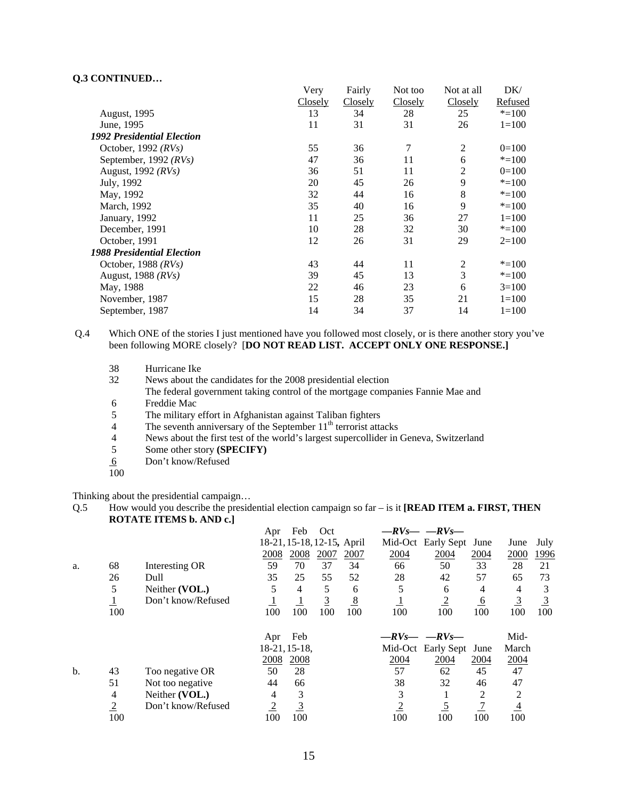|                                   | Very           | Fairly  | Not too | Not at all     | DK/       |
|-----------------------------------|----------------|---------|---------|----------------|-----------|
|                                   | <b>Closely</b> | Closely | Closely | Closely        | Refused   |
| <b>August, 1995</b>               | 13             | 34      | 28      | 25             | $* = 100$ |
| June, 1995                        | 11             | 31      | 31      | 26             | $1 = 100$ |
| <b>1992 Presidential Election</b> |                |         |         |                |           |
| October, 1992 $(RVs)$             | 55             | 36      | 7       | $\overline{2}$ | $0=100$   |
| September, 1992 $(RVs)$           | 47             | 36      | 11      | 6              | $* = 100$ |
| August, 1992 (RVs)                | 36             | 51      | 11      | 2              | $0=100$   |
| July, 1992                        | 20             | 45      | 26      | 9              | $* = 100$ |
| May, 1992                         | 32             | 44      | 16      | 8              | $* = 100$ |
| March, 1992                       | 35             | 40      | 16      | 9              | $* = 100$ |
| January, 1992                     | 11             | 25      | 36      | 27             | $1=100$   |
| December, 1991                    | 10             | 28      | 32      | 30             | $* = 100$ |
| October, 1991                     | 12             | 26      | 31      | 29             | $2=100$   |
| <b>1988 Presidential Election</b> |                |         |         |                |           |
| October, 1988 $(RVs)$             | 43             | 44      | 11      | $\overline{2}$ | $* = 100$ |
| August, 1988 $(RVs)$              | 39             | 45      | 13      | 3              | $* = 100$ |
| May, 1988                         | 22             | 46      | 23      | 6              | $3=100$   |
| November, 1987                    | 15             | 28      | 35      | 21             | $1=100$   |
| September, 1987                   | 14             | 34      | 37      | 14             | $1 = 100$ |

Q.4 Which ONE of the stories I just mentioned have you followed most closely, or is there another story you've been following MORE closely? [**DO NOT READ LIST. ACCEPT ONLY ONE RESPONSE.]** 

News about the candidates for the 2008 presidential election The federal government taking control of the mortgage companies Fannie Mae and

- 6 Freddie Mac<br>5 The military
- 5 The military effort in Afghanistan against Taliban fighters<br>4 The seventh anniversary of the September  $11<sup>th</sup>$  terrorist atta
- The seventh anniversary of the September  $11<sup>th</sup>$  terrorist attacks
- 4 News about the first test of the world's largest supercollider in Geneva, Switzerland<br>5 Some other story (SPECIFY)
- 5 Some other story **(SPECIFY)**
- 6 Don't know/Refused
- 100

Thinking about the presidential campaign…

Q.5 How would you describe the presidential election campaign so far – is it **[READ ITEM a. FIRST, THEN ROTATE ITEMS b. AND c.]**

|     |                |                    | Apr            | Feb            | Oct                        |      |                | $-RV_S$ - $-RV_S$ - |                 |                |      |
|-----|----------------|--------------------|----------------|----------------|----------------------------|------|----------------|---------------------|-----------------|----------------|------|
|     |                |                    |                |                | 18-21, 15-18, 12-15, April |      |                | Mid-Oct Early Sept  | June            | June           | July |
|     |                |                    | 2008           | 2008           | 2007                       | 2007 | 2004           | 2004                | 2004            | 2000           | 1996 |
| a.  | 68             | Interesting OR     | 59             | 70             | 37                         | 34   | 66             | 50                  | 33              | 28             | 21   |
|     | 26             | Dull               | 35             | 25             | 55                         | 52   | 28             | 42                  | 57              | 65             | 73   |
|     | 5              | Neither (VOL.)     | 5              | 4              | 5                          | 6    | 5              | 6                   | 4               | 4              | 3    |
|     | $\perp$        | Don't know/Refused |                | 1              | <u>3</u>                   | 8    | ᆣ              | $\overline{2}$      | $6\overline{6}$ | $\overline{3}$ |      |
|     | 100            |                    | 100            | 100            | 100                        | 100  | 100            | 100                 | 100             | 100            | 100  |
|     |                |                    | Apr            | Feb            |                            |      |                | $-RV_S$ - $-RV_S$ - |                 | Mid-           |      |
|     |                |                    |                | 18-21, 15-18,  |                            |      |                | Mid-Oct Early Sept  | June            | March          |      |
|     |                |                    | 2008           | 2008           |                            |      | 2004           | 2004                | 2004            | 2004           |      |
| $b$ | 43             | Too negative OR    | 50             | 28             |                            |      | 57             | 62                  | 45              | 47             |      |
|     | 51             | Not too negative   | 44             | 66             |                            |      | 38             | 32                  | 46              | 47             |      |
|     | 4              | Neither (VOL.)     | 4              | 3              |                            |      | 3              |                     | 2               | 2              |      |
|     | $\overline{2}$ | Don't know/Refused | $\overline{2}$ | $\overline{3}$ |                            |      | $\overline{2}$ | $\overline{5}$      |                 | $\overline{4}$ |      |
|     | 100            |                    | 100            | 100            |                            |      | 100            | 100                 | 100             | 100            |      |

<sup>38</sup> Hurricane Ike<br>32 News about the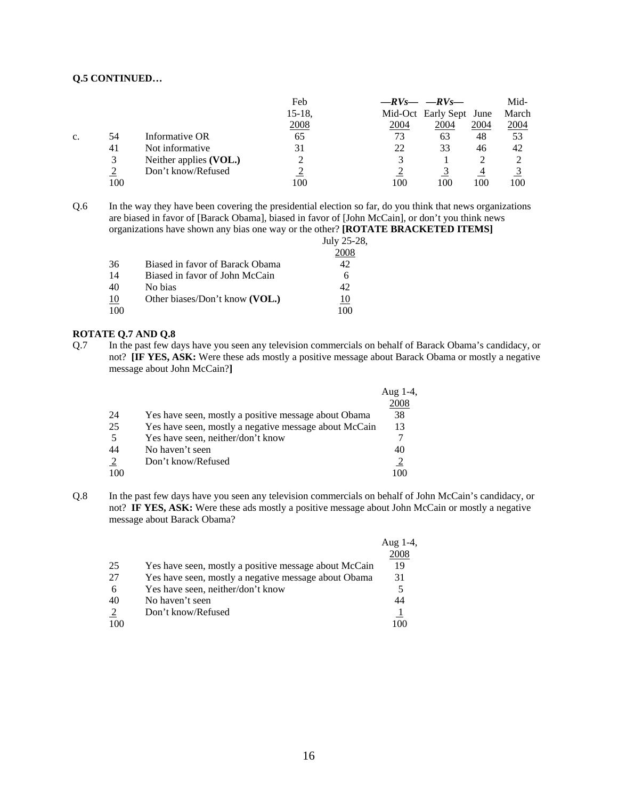|    |     |                        | Feb         |      | $-RV_S$ - $-RV_S$ -     |      | Mid-  |
|----|-----|------------------------|-------------|------|-------------------------|------|-------|
|    |     |                        | 15-18,      |      | Mid-Oct Early Sept June |      | March |
|    |     |                        | <u>2008</u> | 2004 | 2004                    | 2004 | 2004  |
| c. | 54  | Informative OR         | 65          | 73   | 63                      | 48   | 53    |
|    | 41  | Not informative        | 31          | 22   | 33                      | 46   | 42    |
|    | 3   | Neither applies (VOL.) |             |      |                         |      |       |
|    |     | Don't know/Refused     |             |      |                         | 4    |       |
|    | 100 |                        | 100         | 100  | 100                     | 100  | 100   |

Q.6 In the way they have been covering the presidential election so far, do you think that news organizations are biased in favor of [Barack Obama], biased in favor of [John McCain], or don't you think news organizations have shown any bias one way or the other? **[ROTATE BRACKETED ITEMS]**

|    |                                 | July 25-28, |
|----|---------------------------------|-------------|
|    |                                 | 2008        |
| 36 | Biased in favor of Barack Obama | 42          |
| 14 | Biased in favor of John McCain  |             |
| 40 | No bias                         | 42          |
| 10 | Other biases/Don't know (VOL.)  |             |
|    |                                 | 100         |
|    |                                 |             |

### **ROTATE Q.7 AND Q.8**

Q.7 In the past few days have you seen any television commercials on behalf of Barack Obama's candidacy, or not? **[IF YES, ASK:** Were these ads mostly a positive message about Barack Obama or mostly a negative message about John McCain?**]**

|    |                                                       | Aug $1-4$ , |
|----|-------------------------------------------------------|-------------|
|    |                                                       | 2008        |
| 24 | Yes have seen, mostly a positive message about Obama  | 38          |
| 25 | Yes have seen, mostly a negative message about McCain | 13          |
| 5  | Yes have seen, neither/don't know                     |             |
| 44 | No haven't seen                                       | 40          |
| 2  | Don't know/Refused                                    |             |
|    |                                                       |             |

Q.8 In the past few days have you seen any television commercials on behalf of John McCain's candidacy, or not? **IF YES, ASK:** Were these ads mostly a positive message about John McCain or mostly a negative message about Barack Obama?

|     |                                                       | Aug $1-4$ , |
|-----|-------------------------------------------------------|-------------|
|     |                                                       | 2008        |
| 25  | Yes have seen, mostly a positive message about McCain | 19          |
| 27  | Yes have seen, mostly a negative message about Obama  | 31          |
| 6   | Yes have seen, neither/don't know                     |             |
| 40  | No haven't seen                                       | 44          |
| 2   | Don't know/Refused                                    |             |
| 100 |                                                       | 100         |
|     |                                                       |             |